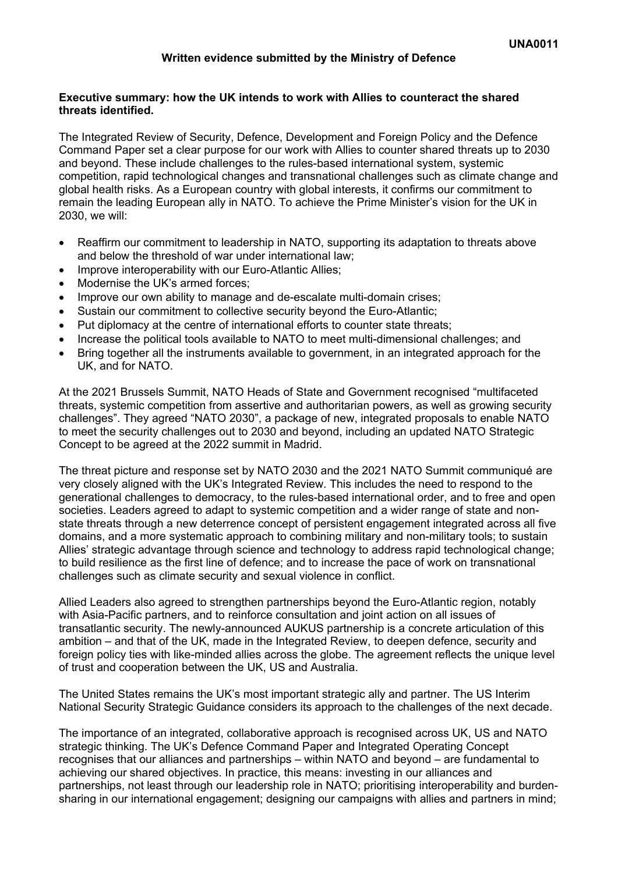### **Executive summary: how the UK intends to work with Allies to counteract the shared threats identified.**

The Integrated Review of Security, Defence, Development and Foreign Policy and the Defence Command Paper set a clear purpose for our work with Allies to counter shared threats up to 2030 and beyond. These include challenges to the rules-based international system, systemic competition, rapid technological changes and transnational challenges such as climate change and global health risks. As a European country with global interests, it confirms our commitment to remain the leading European ally in NATO. To achieve the Prime Minister's vision for the UK in 2030, we will:

- Reaffirm our commitment to leadership in NATO, supporting its adaptation to threats above and below the threshold of war under international law;
- Improve interoperability with our Euro-Atlantic Allies;
- Modernise the UK's armed forces;
- Improve our own ability to manage and de-escalate multi-domain crises;
- Sustain our commitment to collective security beyond the Euro-Atlantic;
- Put diplomacy at the centre of international efforts to counter state threats;
- Increase the political tools available to NATO to meet multi-dimensional challenges; and
- Bring together all the instruments available to government, in an integrated approach for the UK, and for NATO.

At the 2021 Brussels Summit, NATO Heads of State and Government recognised "multifaceted threats, systemic competition from assertive and authoritarian powers, as well as growing security challenges". They agreed "NATO 2030", a package of new, integrated proposals to enable NATO to meet the security challenges out to 2030 and beyond, including an updated NATO Strategic Concept to be agreed at the 2022 summit in Madrid.

The threat picture and response set by NATO 2030 and the 2021 NATO Summit communiqué are very closely aligned with the UK's Integrated Review. This includes the need to respond to the generational challenges to democracy, to the rules-based international order, and to free and open societies. Leaders agreed to adapt to systemic competition and a wider range of state and nonstate threats through a new deterrence concept of persistent engagement integrated across all five domains, and a more systematic approach to combining military and non-military tools; to sustain Allies' strategic advantage through science and technology to address rapid technological change; to build resilience as the first line of defence; and to increase the pace of work on transnational challenges such as climate security and sexual violence in conflict.

Allied Leaders also agreed to strengthen partnerships beyond the Euro-Atlantic region, notably with Asia-Pacific partners, and to reinforce consultation and joint action on all issues of transatlantic security. The newly-announced AUKUS partnership is a concrete articulation of this ambition – and that of the UK, made in the Integrated Review, to deepen defence, security and foreign policy ties with like-minded allies across the globe. The agreement reflects the unique level of trust and cooperation between the UK, US and Australia.

The United States remains the UK's most important strategic ally and partner. The US Interim National Security Strategic Guidance considers its approach to the challenges of the next decade.

The importance of an integrated, collaborative approach is recognised across UK, US and NATO strategic thinking. The UK's Defence Command Paper and Integrated Operating Concept recognises that our alliances and partnerships – within NATO and beyond – are fundamental to achieving our shared objectives. In practice, this means: investing in our alliances and partnerships, not least through our leadership role in NATO; prioritising interoperability and burdensharing in our international engagement; designing our campaigns with allies and partners in mind;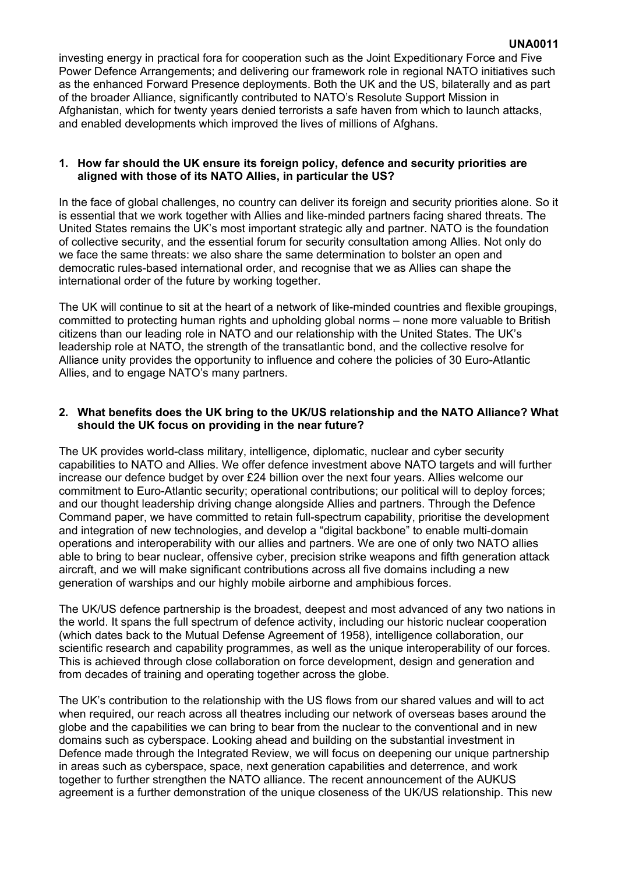investing energy in practical fora for cooperation such as the Joint Expeditionary Force and Five Power Defence Arrangements; and delivering our framework role in regional NATO initiatives such as the enhanced Forward Presence deployments. Both the UK and the US, bilaterally and as part of the broader Alliance, significantly contributed to NATO's Resolute Support Mission in Afghanistan, which for twenty years denied terrorists a safe haven from which to launch attacks, and enabled developments which improved the lives of millions of Afghans.

### **1. How far should the UK ensure its foreign policy, defence and security priorities are aligned with those of its NATO Allies, in particular the US?**

In the face of global challenges, no country can deliver its foreign and security priorities alone. So it is essential that we work together with Allies and like-minded partners facing shared threats. The United States remains the UK's most important strategic ally and partner. NATO is the foundation of collective security, and the essential forum for security consultation among Allies. Not only do we face the same threats: we also share the same determination to bolster an open and democratic rules-based international order, and recognise that we as Allies can shape the international order of the future by working together.

The UK will continue to sit at the heart of a network of like-minded countries and flexible groupings, committed to protecting human rights and upholding global norms – none more valuable to British citizens than our leading role in NATO and our relationship with the United States. The UK's leadership role at NATO, the strength of the transatlantic bond, and the collective resolve for Alliance unity provides the opportunity to influence and cohere the policies of 30 Euro-Atlantic Allies, and to engage NATO's many partners.

# **2. What benefits does the UK bring to the UK/US relationship and the NATO Alliance? What should the UK focus on providing in the near future?**

The UK provides world-class military, intelligence, diplomatic, nuclear and cyber security capabilities to NATO and Allies. We offer defence investment above NATO targets and will further increase our defence budget by over £24 billion over the next four years. Allies welcome our commitment to Euro-Atlantic security; operational contributions; our political will to deploy forces; and our thought leadership driving change alongside Allies and partners. Through the Defence Command paper, we have committed to retain full-spectrum capability, prioritise the development and integration of new technologies, and develop a "digital backbone" to enable multi-domain operations and interoperability with our allies and partners. We are one of only two NATO allies able to bring to bear nuclear, offensive cyber, precision strike weapons and fifth generation attack aircraft, and we will make significant contributions across all five domains including a new generation of warships and our highly mobile airborne and amphibious forces.

The UK/US defence partnership is the broadest, deepest and most advanced of any two nations in the world. It spans the full spectrum of defence activity, including our historic nuclear cooperation (which dates back to the Mutual Defense Agreement of 1958), intelligence collaboration, our scientific research and capability programmes, as well as the unique interoperability of our forces. This is achieved through close collaboration on force development, design and generation and from decades of training and operating together across the globe.

The UK's contribution to the relationship with the US flows from our shared values and will to act when required, our reach across all theatres including our network of overseas bases around the globe and the capabilities we can bring to bear from the nuclear to the conventional and in new domains such as cyberspace. Looking ahead and building on the substantial investment in Defence made through the Integrated Review, we will focus on deepening our unique partnership in areas such as cyberspace, space, next generation capabilities and deterrence, and work together to further strengthen the NATO alliance. The recent announcement of the AUKUS agreement is a further demonstration of the unique closeness of the UK/US relationship. This new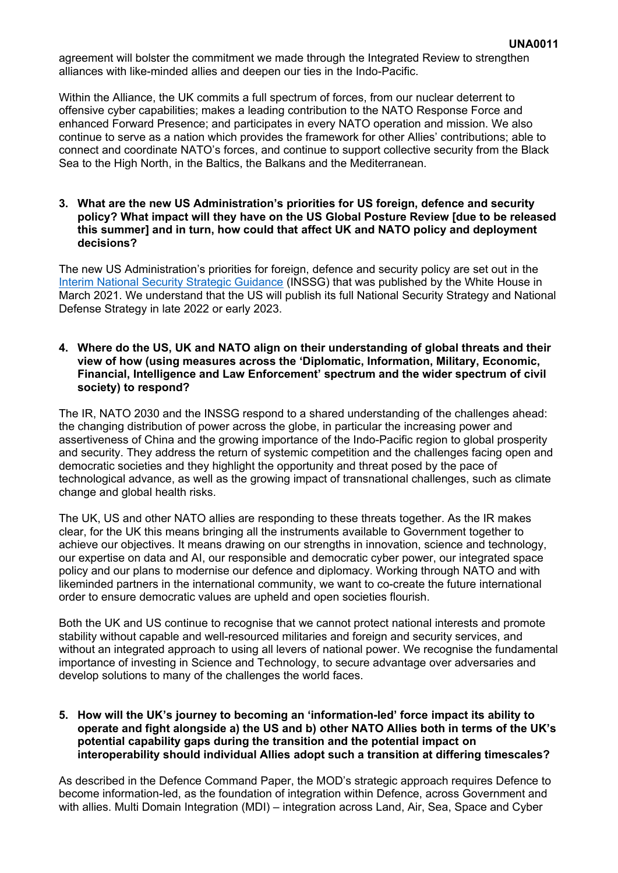agreement will bolster the commitment we made through the Integrated Review to strengthen alliances with like-minded allies and deepen our ties in the Indo-Pacific.

Within the Alliance, the UK commits a full spectrum of forces, from our nuclear deterrent to offensive cyber capabilities; makes a leading contribution to the NATO Response Force and enhanced Forward Presence; and participates in every NATO operation and mission. We also continue to serve as a nation which provides the framework for other Allies' contributions; able to connect and coordinate NATO's forces, and continue to support collective security from the Black Sea to the High North, in the Baltics, the Balkans and the Mediterranean.

### **3. What are the new US Administration's priorities for US foreign, defence and security policy? What impact will they have on the US Global Posture Review [due to be released this summer] and in turn, how could that affect UK and NATO policy and deployment decisions?**

The new US Administration's priorities for foreign, defence and security policy are set out in the [Interim](https://gbr01.safelinks.protection.outlook.com/?url=https%3A%2F%2Fwww.whitehouse.gov%2Fwp-content%2Fuploads%2F2021%2F03%2FNSC-1v2.pdf&data=04%7C01%7CSarah.Shiner100%40mod.gov.uk%7Ca57e7c8cd17a4e6998c208d958e5efc9%7Cbe7760ed5953484bae95d0a16dfa09e5%7C0%7C0%7C637638566849403348%7CUnknown%7CTWFpbGZsb3d8eyJWIjoiMC4wLjAwMDAiLCJQIjoiV2luMzIiLCJBTiI6Ik1haWwiLCJXVCI6Mn0%3D%7C1000&sdata=sZy6cLWRpBfvs34Ba3C4Xaz4MpT1w1Lu6Xw8wz6BdNk%3D&reserved=0) [National](https://gbr01.safelinks.protection.outlook.com/?url=https%3A%2F%2Fwww.whitehouse.gov%2Fwp-content%2Fuploads%2F2021%2F03%2FNSC-1v2.pdf&data=04%7C01%7CSarah.Shiner100%40mod.gov.uk%7Ca57e7c8cd17a4e6998c208d958e5efc9%7Cbe7760ed5953484bae95d0a16dfa09e5%7C0%7C0%7C637638566849403348%7CUnknown%7CTWFpbGZsb3d8eyJWIjoiMC4wLjAwMDAiLCJQIjoiV2luMzIiLCJBTiI6Ik1haWwiLCJXVCI6Mn0%3D%7C1000&sdata=sZy6cLWRpBfvs34Ba3C4Xaz4MpT1w1Lu6Xw8wz6BdNk%3D&reserved=0) [Security](https://gbr01.safelinks.protection.outlook.com/?url=https%3A%2F%2Fwww.whitehouse.gov%2Fwp-content%2Fuploads%2F2021%2F03%2FNSC-1v2.pdf&data=04%7C01%7CSarah.Shiner100%40mod.gov.uk%7Ca57e7c8cd17a4e6998c208d958e5efc9%7Cbe7760ed5953484bae95d0a16dfa09e5%7C0%7C0%7C637638566849403348%7CUnknown%7CTWFpbGZsb3d8eyJWIjoiMC4wLjAwMDAiLCJQIjoiV2luMzIiLCJBTiI6Ik1haWwiLCJXVCI6Mn0%3D%7C1000&sdata=sZy6cLWRpBfvs34Ba3C4Xaz4MpT1w1Lu6Xw8wz6BdNk%3D&reserved=0) [Strategic](https://gbr01.safelinks.protection.outlook.com/?url=https%3A%2F%2Fwww.whitehouse.gov%2Fwp-content%2Fuploads%2F2021%2F03%2FNSC-1v2.pdf&data=04%7C01%7CSarah.Shiner100%40mod.gov.uk%7Ca57e7c8cd17a4e6998c208d958e5efc9%7Cbe7760ed5953484bae95d0a16dfa09e5%7C0%7C0%7C637638566849403348%7CUnknown%7CTWFpbGZsb3d8eyJWIjoiMC4wLjAwMDAiLCJQIjoiV2luMzIiLCJBTiI6Ik1haWwiLCJXVCI6Mn0%3D%7C1000&sdata=sZy6cLWRpBfvs34Ba3C4Xaz4MpT1w1Lu6Xw8wz6BdNk%3D&reserved=0) [Guidance](https://gbr01.safelinks.protection.outlook.com/?url=https%3A%2F%2Fwww.whitehouse.gov%2Fwp-content%2Fuploads%2F2021%2F03%2FNSC-1v2.pdf&data=04%7C01%7CSarah.Shiner100%40mod.gov.uk%7Ca57e7c8cd17a4e6998c208d958e5efc9%7Cbe7760ed5953484bae95d0a16dfa09e5%7C0%7C0%7C637638566849403348%7CUnknown%7CTWFpbGZsb3d8eyJWIjoiMC4wLjAwMDAiLCJQIjoiV2luMzIiLCJBTiI6Ik1haWwiLCJXVCI6Mn0%3D%7C1000&sdata=sZy6cLWRpBfvs34Ba3C4Xaz4MpT1w1Lu6Xw8wz6BdNk%3D&reserved=0) (INSSG) that was published by the White House in March 2021. We understand that the US will publish its full National Security Strategy and National Defense Strategy in late 2022 or early 2023.

#### **4. Where do the US, UK and NATO align on their understanding of global threats and their view of how (using measures across the 'Diplomatic, Information, Military, Economic, Financial, Intelligence and Law Enforcement' spectrum and the wider spectrum of civil society) to respond?**

The IR, NATO 2030 and the INSSG respond to a shared understanding of the challenges ahead: the changing distribution of power across the globe, in particular the increasing power and assertiveness of China and the growing importance of the Indo-Pacific region to global prosperity and security. They address the return of systemic competition and the challenges facing open and democratic societies and they highlight the opportunity and threat posed by the pace of technological advance, as well as the growing impact of transnational challenges, such as climate change and global health risks.

The UK, US and other NATO allies are responding to these threats together. As the IR makes clear, for the UK this means bringing all the instruments available to Government together to achieve our objectives. It means drawing on our strengths in innovation, science and technology, our expertise on data and AI, our responsible and democratic cyber power, our integrated space policy and our plans to modernise our defence and diplomacy. Working through NATO and with likeminded partners in the international community, we want to co-create the future international order to ensure democratic values are upheld and open societies flourish.

Both the UK and US continue to recognise that we cannot protect national interests and promote stability without capable and well-resourced militaries and foreign and security services, and without an integrated approach to using all levers of national power. We recognise the fundamental importance of investing in Science and Technology, to secure advantage over adversaries and develop solutions to many of the challenges the world faces.

# **5. How will the UK's journey to becoming an 'information-led' force impact its ability to operate and fight alongside a) the US and b) other NATO Allies both in terms of the UK's potential capability gaps during the transition and the potential impact on interoperability should individual Allies adopt such a transition at differing timescales?**

As described in the Defence Command Paper, the MOD's strategic approach requires Defence to become information-led, as the foundation of integration within Defence, across Government and with allies. Multi Domain Integration (MDI) – integration across Land, Air, Sea, Space and Cyber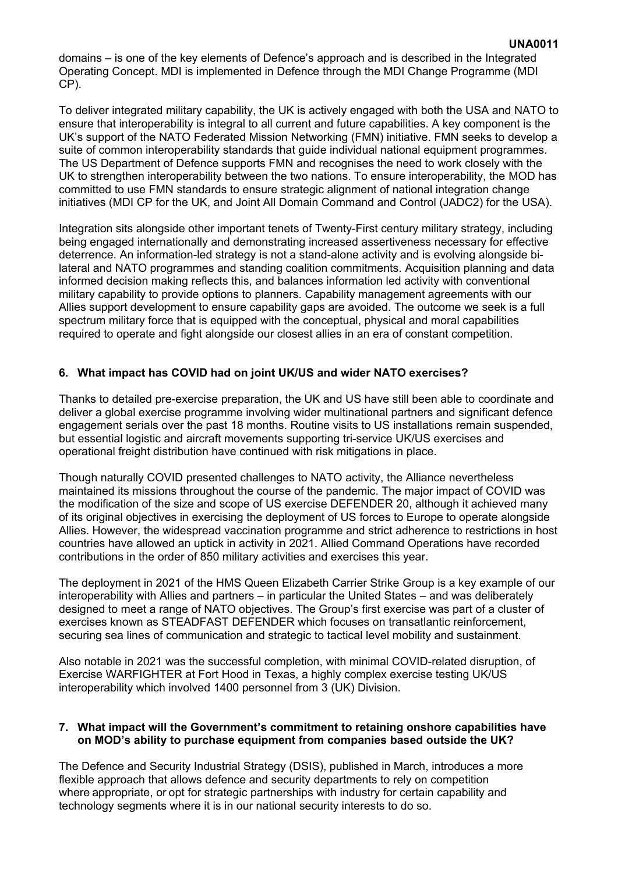domains – is one of the key elements of Defence's approach and is described in the Integrated Operating Concept. MDI is implemented in Defence through the MDI Change Programme (MDI CP).

To deliver integrated military capability, the UK is actively engaged with both the USA and NATO to ensure that interoperability is integral to all current and future capabilities. A key component is the UK's support of the NATO Federated Mission Networking (FMN) initiative. FMN seeks to develop a suite of common interoperability standards that guide individual national equipment programmes. The US Department of Defence supports FMN and recognises the need to work closely with the UK to strengthen interoperability between the two nations. To ensure interoperability, the MOD has committed to use FMN standards to ensure strategic alignment of national integration change initiatives (MDI CP for the UK, and Joint All Domain Command and Control (JADC2) for the USA).

Integration sits alongside other important tenets of Twenty-First century military strategy, including being engaged internationally and demonstrating increased assertiveness necessary for effective deterrence. An information-led strategy is not a stand-alone activity and is evolving alongside bilateral and NATO programmes and standing coalition commitments. Acquisition planning and data informed decision making reflects this, and balances information led activity with conventional military capability to provide options to planners. Capability management agreements with our Allies support development to ensure capability gaps are avoided. The outcome we seek is a full spectrum military force that is equipped with the conceptual, physical and moral capabilities required to operate and fight alongside our closest allies in an era of constant competition.

# **6. What impact has COVID had on joint UK/US and wider NATO exercises?**

Thanks to detailed pre-exercise preparation, the UK and US have still been able to coordinate and deliver a global exercise programme involving wider multinational partners and significant defence engagement serials over the past 18 months. Routine visits to US installations remain suspended, but essential logistic and aircraft movements supporting tri-service UK/US exercises and operational freight distribution have continued with risk mitigations in place.

Though naturally COVID presented challenges to NATO activity, the Alliance nevertheless maintained its missions throughout the course of the pandemic. The major impact of COVID was the modification of the size and scope of US exercise DEFENDER 20, although it achieved many of its original objectives in exercising the deployment of US forces to Europe to operate alongside Allies. However, the widespread vaccination programme and strict adherence to restrictions in host countries have allowed an uptick in activity in 2021. Allied Command Operations have recorded contributions in the order of 850 military activities and exercises this year.

The deployment in 2021 of the HMS Queen Elizabeth Carrier Strike Group is a key example of our interoperability with Allies and partners – in particular the United States – and was deliberately designed to meet a range of NATO objectives. The Group's first exercise was part of a cluster of exercises known as STEADFAST DEFENDER which focuses on transatlantic reinforcement, securing sea lines of communication and strategic to tactical level mobility and sustainment.

Also notable in 2021 was the successful completion, with minimal COVID-related disruption, of Exercise WARFIGHTER at Fort Hood in Texas, a highly complex exercise testing UK/US interoperability which involved 1400 personnel from 3 (UK) Division.

#### **7. What impact will the Government's commitment to retaining onshore capabilities have on MOD's ability to purchase equipment from companies based outside the UK?**

The Defence and Security Industrial Strategy (DSIS), published in March, introduces a more flexible approach that allows defence and security departments to rely on competition where appropriate, or opt for strategic partnerships with industry for certain capability and technology segments where it is in our national security interests to do so.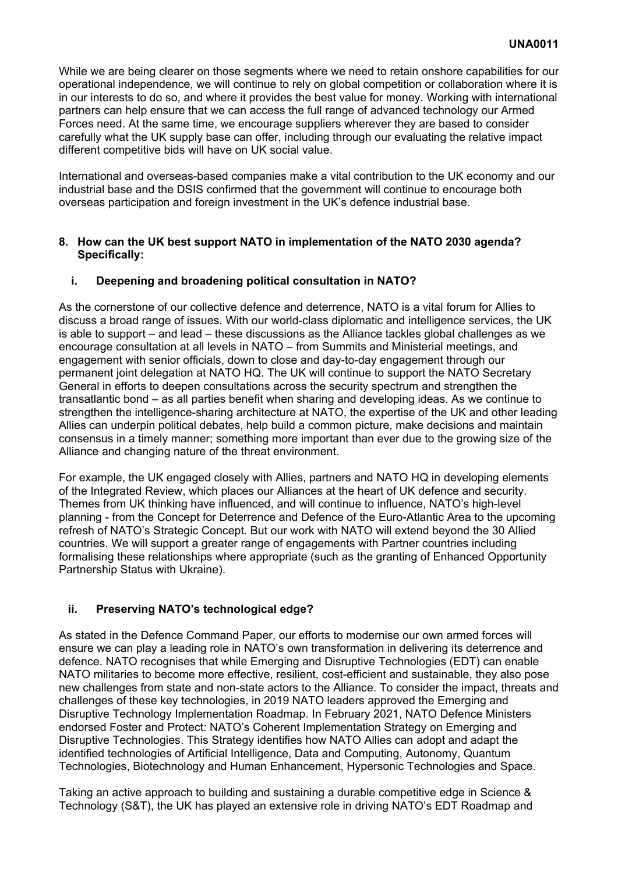While we are being clearer on those segments where we need to retain onshore capabilities for our operational independence, we will continue to rely on global competition or collaboration where it is in our interests to do so, and where it provides the best value for money. Working with international partners can help ensure that we can access the full range of advanced technology our Armed Forces need. At the same time, we encourage suppliers wherever they are based to consider carefully what the UK supply base can offer, including through our evaluating the relative impact different competitive bids will have on UK social value.

International and overseas-based companies make a vital contribution to the UK economy and our industrial base and the DSIS confirmed that the government will continue to encourage both overseas participation and foreign investment in the UK's defence industrial base.

# **8. How can the UK best support NATO in implementation of the NATO 2030 agenda? Specifically:**

# **i. Deepening and broadening political consultation in NATO?**

As the cornerstone of our collective defence and deterrence, NATO is a vital forum for Allies to discuss a broad range of issues. With our world-class diplomatic and intelligence services, the UK is able to support – and lead – these discussions as the Alliance tackles global challenges as we encourage consultation at all levels in NATO – from Summits and Ministerial meetings, and engagement with senior officials, down to close and day-to-day engagement through our permanent joint delegation at NATO HQ. The UK will continue to support the NATO Secretary General in efforts to deepen consultations across the security spectrum and strengthen the transatlantic bond – as all parties benefit when sharing and developing ideas. As we continue to strengthen the intelligence-sharing architecture at NATO, the expertise of the UK and other leading Allies can underpin political debates, help build a common picture, make decisions and maintain consensus in a timely manner; something more important than ever due to the growing size of the Alliance and changing nature of the threat environment.

For example, the UK engaged closely with Allies, partners and NATO HQ in developing elements of the Integrated Review, which places our Alliances at the heart of UK defence and security. Themes from UK thinking have influenced, and will continue to influence, NATO's high-level planning - from the Concept for Deterrence and Defence of the Euro-Atlantic Area to the upcoming refresh of NATO's Strategic Concept. But our work with NATO will extend beyond the 30 Allied countries. We will support a greater range of engagements with Partner countries including formalising these relationships where appropriate (such as the granting of Enhanced Opportunity Partnership Status with Ukraine).

# **ii. Preserving NATO's technological edge?**

As stated in the Defence Command Paper, our efforts to modernise our own armed forces will ensure we can play a leading role in NATO's own transformation in delivering its deterrence and defence. NATO recognises that while Emerging and Disruptive Technologies (EDT) can enable NATO militaries to become more effective, resilient, cost-efficient and sustainable, they also pose new challenges from state and non-state actors to the Alliance. To consider the impact, threats and challenges of these key technologies, in 2019 NATO leaders approved the Emerging and Disruptive Technology Implementation Roadmap. In February 2021, NATO Defence Ministers endorsed Foster and Protect: NATO's Coherent Implementation Strategy on Emerging and Disruptive Technologies. This Strategy identifies how NATO Allies can adopt and adapt the identified technologies of Artificial Intelligence, Data and Computing, Autonomy, Quantum Technologies, Biotechnology and Human Enhancement, Hypersonic Technologies and Space.

Taking an active approach to building and sustaining a durable competitive edge in Science & Technology (S&T), the UK has played an extensive role in driving NATO's EDT Roadmap and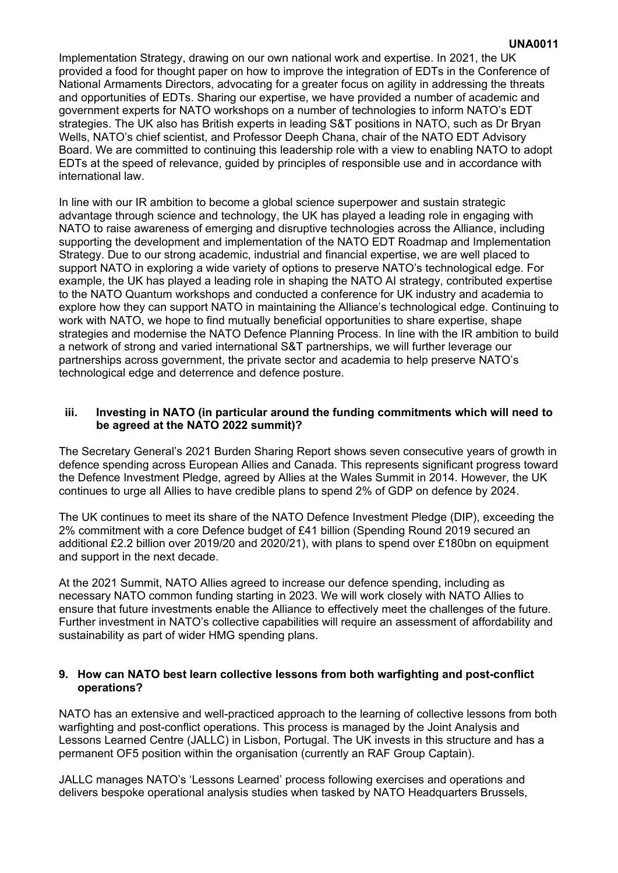Implementation Strategy, drawing on our own national work and expertise. In 2021, the UK provided a food for thought paper on how to improve the integration of EDTs in the Conference of National Armaments Directors, advocating for a greater focus on agility in addressing the threats and opportunities of EDTs. Sharing our expertise, we have provided a number of academic and government experts for NATO workshops on a number of technologies to inform NATO's EDT strategies. The UK also has British experts in leading S&T positions in NATO, such as Dr Bryan Wells, NATO's chief scientist, and Professor Deeph Chana, chair of the NATO EDT Advisory Board. We are committed to continuing this leadership role with a view to enabling NATO to adopt EDTs at the speed of relevance, guided by principles of responsible use and in accordance with international law.

In line with our IR ambition to become a global science superpower and sustain strategic advantage through science and technology, the UK has played a leading role in engaging with NATO to raise awareness of emerging and disruptive technologies across the Alliance, including supporting the development and implementation of the NATO EDT Roadmap and Implementation Strategy. Due to our strong academic, industrial and financial expertise, we are well placed to support NATO in exploring a wide variety of options to preserve NATO's technological edge. For example, the UK has played a leading role in shaping the NATO AI strategy, contributed expertise to the NATO Quantum workshops and conducted a conference for UK industry and academia to explore how they can support NATO in maintaining the Alliance's technological edge. Continuing to work with NATO, we hope to find mutually beneficial opportunities to share expertise, shape strategies and modernise the NATO Defence Planning Process. In line with the IR ambition to build a network of strong and varied international S&T partnerships, we will further leverage our partnerships across government, the private sector and academia to help preserve NATO's technological edge and deterrence and defence posture.

# **iii. Investing in NATO (in particular around the funding commitments which will need to be agreed at the NATO 2022 summit)?**

The Secretary General's 2021 Burden Sharing Report shows seven consecutive years of growth in defence spending across European Allies and Canada. This represents significant progress toward the Defence Investment Pledge, agreed by Allies at the Wales Summit in 2014. However, the UK continues to urge all Allies to have credible plans to spend 2% of GDP on defence by 2024.

The UK continues to meet its share of the NATO Defence Investment Pledge (DIP), exceeding the 2% commitment with a core Defence budget of £41 billion (Spending Round 2019 secured an additional £2.2 billion over 2019/20 and 2020/21), with plans to spend over £180bn on equipment and support in the next decade.

At the 2021 Summit, NATO Allies agreed to increase our defence spending, including as necessary NATO common funding starting in 2023. We will work closely with NATO Allies to ensure that future investments enable the Alliance to effectively meet the challenges of the future. Further investment in NATO's collective capabilities will require an assessment of affordability and sustainability as part of wider HMG spending plans.

### **9. How can NATO best learn collective lessons from both warfighting and post-conflict operations?**

NATO has an extensive and well-practiced approach to the learning of collective lessons from both warfighting and post-conflict operations. This process is managed by the Joint Analysis and Lessons Learned Centre (JALLC) in Lisbon, Portugal. The UK invests in this structure and has a permanent OF5 position within the organisation (currently an RAF Group Captain).

JALLC manages NATO's 'Lessons Learned' process following exercises and operations and delivers bespoke operational analysis studies when tasked by NATO Headquarters Brussels,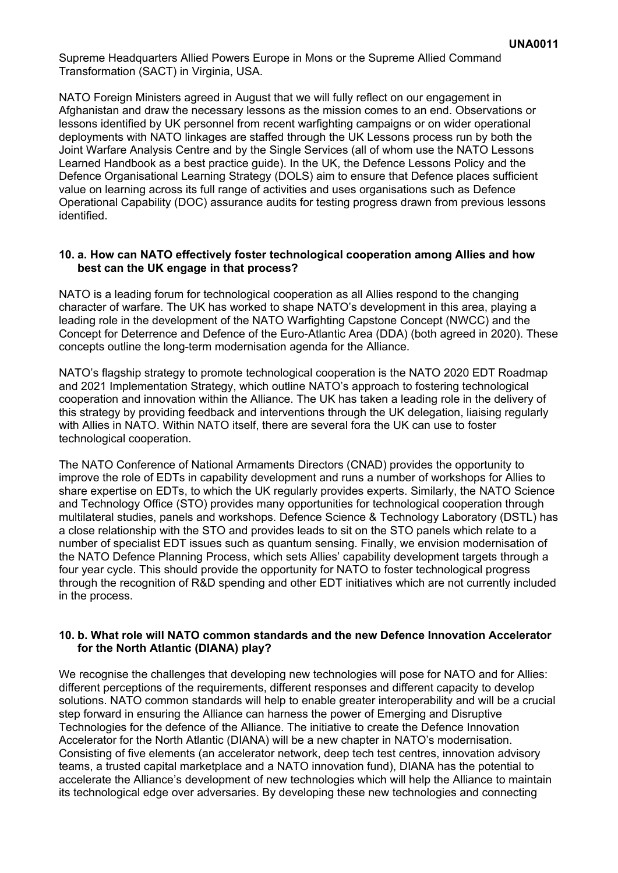Supreme Headquarters Allied Powers Europe in Mons or the Supreme Allied Command Transformation (SACT) in Virginia, USA.

NATO Foreign Ministers agreed in August that we will fully reflect on our engagement in Afghanistan and draw the necessary lessons as the mission comes to an end. Observations or lessons identified by UK personnel from recent warfighting campaigns or on wider operational deployments with NATO linkages are staffed through the UK Lessons process run by both the Joint Warfare Analysis Centre and by the Single Services (all of whom use the NATO Lessons Learned Handbook as a best practice guide). In the UK, the Defence Lessons Policy and the Defence Organisational Learning Strategy (DOLS) aim to ensure that Defence places sufficient value on learning across its full range of activities and uses organisations such as Defence Operational Capability (DOC) assurance audits for testing progress drawn from previous lessons identified.

### **10. a. How can NATO effectively foster technological cooperation among Allies and how best can the UK engage in that process?**

NATO is a leading forum for technological cooperation as all Allies respond to the changing character of warfare. The UK has worked to shape NATO's development in this area, playing a leading role in the development of the NATO Warfighting Capstone Concept (NWCC) and the Concept for Deterrence and Defence of the Euro-Atlantic Area (DDA) (both agreed in 2020). These concepts outline the long-term modernisation agenda for the Alliance.

NATO's flagship strategy to promote technological cooperation is the NATO 2020 EDT Roadmap and 2021 Implementation Strategy, which outline NATO's approach to fostering technological cooperation and innovation within the Alliance. The UK has taken a leading role in the delivery of this strategy by providing feedback and interventions through the UK delegation, liaising regularly with Allies in NATO. Within NATO itself, there are several fora the UK can use to foster technological cooperation.

The NATO Conference of National Armaments Directors (CNAD) provides the opportunity to improve the role of EDTs in capability development and runs a number of workshops for Allies to share expertise on EDTs, to which the UK regularly provides experts. Similarly, the NATO Science and Technology Office (STO) provides many opportunities for technological cooperation through multilateral studies, panels and workshops. Defence Science & Technology Laboratory (DSTL) has a close relationship with the STO and provides leads to sit on the STO panels which relate to a number of specialist EDT issues such as quantum sensing. Finally, we envision modernisation of the NATO Defence Planning Process, which sets Allies' capability development targets through a four year cycle. This should provide the opportunity for NATO to foster technological progress through the recognition of R&D spending and other EDT initiatives which are not currently included in the process.

### **10. b. What role will NATO common standards and the new Defence Innovation Accelerator for the North Atlantic (DIANA) play?**

We recognise the challenges that developing new technologies will pose for NATO and for Allies: different perceptions of the requirements, different responses and different capacity to develop solutions. NATO common standards will help to enable greater interoperability and will be a crucial step forward in ensuring the Alliance can harness the power of Emerging and Disruptive Technologies for the defence of the Alliance. The initiative to create the Defence Innovation Accelerator for the North Atlantic (DIANA) will be a new chapter in NATO's modernisation. Consisting of five elements (an accelerator network, deep tech test centres, innovation advisory teams, a trusted capital marketplace and a NATO innovation fund), DIANA has the potential to accelerate the Alliance's development of new technologies which will help the Alliance to maintain its technological edge over adversaries. By developing these new technologies and connecting